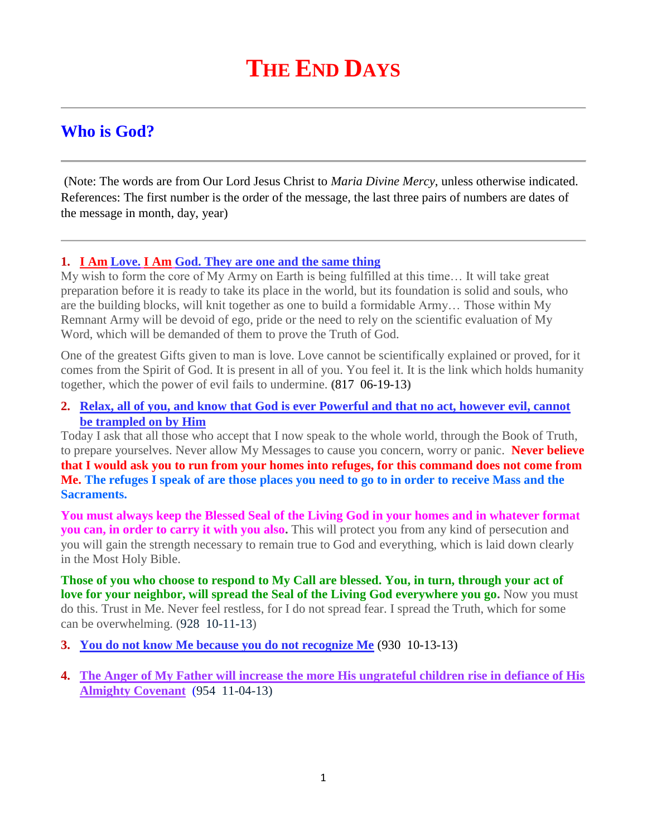# **Who is God?**

(Note: The words are from Our Lord Jesus Christ to *Maria Divine Mercy*, unless otherwise indicated. References: The first number is the order of the message, the last three pairs of numbers are dates of the message in month, day, year)

# **1. I Am Love. I Am [God. They are one and the same thing](http://www.thewarningsecondcoming.com/i-am-love-i-am-god-they-are-one-and-the-same-thing/)**

My wish to form the core of My Army on Earth is being fulfilled at this time… It will take great preparation before it is ready to take its place in the world, but its foundation is solid and souls, who are the building blocks, will knit together as one to build a formidable Army… Those within My Remnant Army will be devoid of ego, pride or the need to rely on the scientific evaluation of My Word, which will be demanded of them to prove the Truth of God.

One of the greatest Gifts given to man is love. Love cannot be scientifically explained or proved, for it comes from the Spirit of God. It is present in all of you. You feel it. It is the link which holds humanity together, which the power of evil fails to undermine. **(**817 06-19-13**)**

## **2. [Relax, all of you, and know that God is ever Powerful and that no act, however evil, cannot](http://www.thewarningsecondcoming.com/relax-all-of-you-and-know-that-god-is-ever-powerful-and-that-no-act-however-evil-cannot-be-trampled-on-by-him/)  [be trampled on by Him](http://www.thewarningsecondcoming.com/relax-all-of-you-and-know-that-god-is-ever-powerful-and-that-no-act-however-evil-cannot-be-trampled-on-by-him/)**

Today I ask that all those who accept that I now speak to the whole world, through the Book of Truth, to prepare yourselves. Never allow My Messages to cause you concern, worry or panic. **Never believe that I would ask you to run from your homes into refuges, for this command does not come from Me. The refuges I speak of are those places you need to go to in order to receive Mass and the Sacraments.**

**You must always keep the Blessed Seal of the Living God in your homes and in whatever format you can, in order to carry it with you also.** This will protect you from any kind of persecution and you will gain the strength necessary to remain true to God and everything, which is laid down clearly in the Most Holy Bible.

**Those of you who choose to respond to My Call are blessed. You, in turn, through your act of love for your neighbor, will spread the Seal of the Living God everywhere you go.** Now you must do this. Trust in Me. Never feel restless, for I do not spread fear. I spread the Truth, which for some can be overwhelming. (928 10-11-13)

- **3. [You do not know Me because you do not recognize Me](http://www.thewarningsecondcoming.com/you-do-not-know-me-because-you-do-not-recognise-me/)** (930 10-13-13)
- **4. [The Anger of My Father will increase the more His ungrateful children rise in defiance of His](http://www.thewarningsecondcoming.com/the-anger-of-my-father-will-increase-the-more-his-ungrateful-children-rise-in-defiance-of-his-almighty-covenant/)  [Almighty Covenant](http://www.thewarningsecondcoming.com/the-anger-of-my-father-will-increase-the-more-his-ungrateful-children-rise-in-defiance-of-his-almighty-covenant/)** (954 11-04-13)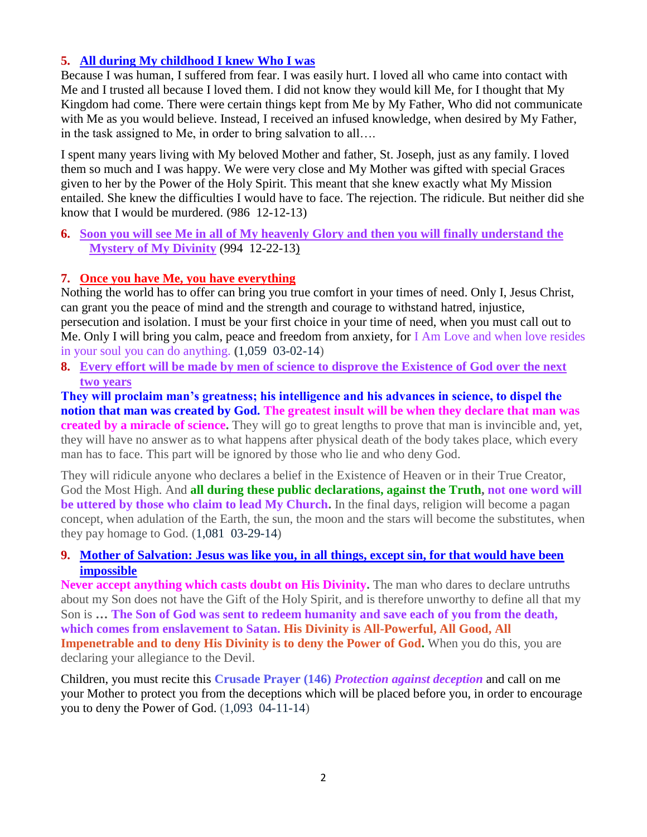# **5. [All during My childhood I knew Who I was](http://www.thewarningsecondcoming.com/all-during-my-childhood-i-knew-who-i-was/)**

Because I was human, I suffered from fear. I was easily hurt. I loved all who came into contact with Me and I trusted all because I loved them. I did not know they would kill Me, for I thought that My Kingdom had come. There were certain things kept from Me by My Father, Who did not communicate with Me as you would believe. Instead, I received an infused knowledge, when desired by My Father, in the task assigned to Me, in order to bring salvation to all….

I spent many years living with My beloved Mother and father, St. Joseph, just as any family. I loved them so much and I was happy. We were very close and My Mother was gifted with special Graces given to her by the Power of the Holy Spirit. This meant that she knew exactly what My Mission entailed. She knew the difficulties I would have to face. The rejection. The ridicule. But neither did she know that I would be murdered. (986 12-12-13)

**6. [Soon you will see Me in all of My heavenly Glory and then you will finally understand the](http://www.thewarningsecondcoming.com/soon-you-will-see-me-in-all-of-my-heavenly-glory-and-then-you-will-finally-understand-the-mystery-of-my-divinity/)  [Mystery of My Divinity](http://www.thewarningsecondcoming.com/soon-you-will-see-me-in-all-of-my-heavenly-glory-and-then-you-will-finally-understand-the-mystery-of-my-divinity/)** (994 12-22-13)

# **7. [Once you have Me, you have everything](http://www.thewarningsecondcoming.com/once-you-have-me-you-have-everything/)**

Nothing the world has to offer can bring you true comfort in your times of need. Only I, Jesus Christ, can grant you the peace of mind and the strength and courage to withstand hatred, injustice, persecution and isolation. I must be your first choice in your time of need, when you must call out to Me. Only I will bring you calm, peace and freedom from anxiety, for I Am Love and when love resides in your soul you can do anything. **(**1,059 03-02-14)

**8. [Every effort will be made by men of science to disprove the Existence of God over the next](http://www.thewarningsecondcoming.com/every-effort-will-be-made-by-men-of-science-to-disprove-the-existence-of-god-over-the-next-two-years/)  [two years](http://www.thewarningsecondcoming.com/every-effort-will-be-made-by-men-of-science-to-disprove-the-existence-of-god-over-the-next-two-years/)**

**They will proclaim man's greatness; his intelligence and his advances in science, to dispel the notion that man was created by God. The greatest insult will be when they declare that man was created by a miracle of science.** They will go to great lengths to prove that man is invincible and, yet, they will have no answer as to what happens after physical death of the body takes place, which every man has to face. This part will be ignored by those who lie and who deny God.

They will ridicule anyone who declares a belief in the Existence of Heaven or in their True Creator, God the Most High. And **all during these public declarations, against the Truth, not one word will be uttered by those who claim to lead My Church.** In the final days, religion will become a pagan concept, when adulation of the Earth, the sun, the moon and the stars will become the substitutes, when they pay homage to God. (1,081 03-29-14)

# **9. [Mother of Salvation: Jesus was like you, in all things, except sin, for that would have been](http://www.thewarningsecondcoming.com/mother-of-salvation-jesus-was-like-you-in-all-things-except-sin-for-that-would-have-been-impossible/)  [impossible](http://www.thewarningsecondcoming.com/mother-of-salvation-jesus-was-like-you-in-all-things-except-sin-for-that-would-have-been-impossible/)**

**Never accept anything which casts doubt on His Divinity.** The man who dares to declare untruths about my Son does not have the Gift of the Holy Spirit, and is therefore unworthy to define all that my Son is **… The Son of God was sent to redeem humanity and save each of you from the death, which comes from enslavement to Satan. His Divinity is All-Powerful, All Good, All Impenetrable and to deny His Divinity is to deny the Power of God.** When you do this, you are declaring your allegiance to the Devil.

Children, you must recite this **Crusade Prayer (146)** *Protection against deception* and call on me your Mother to protect you from the deceptions which will be placed before you, in order to encourage you to deny the Power of God. (1,093 04-11-14)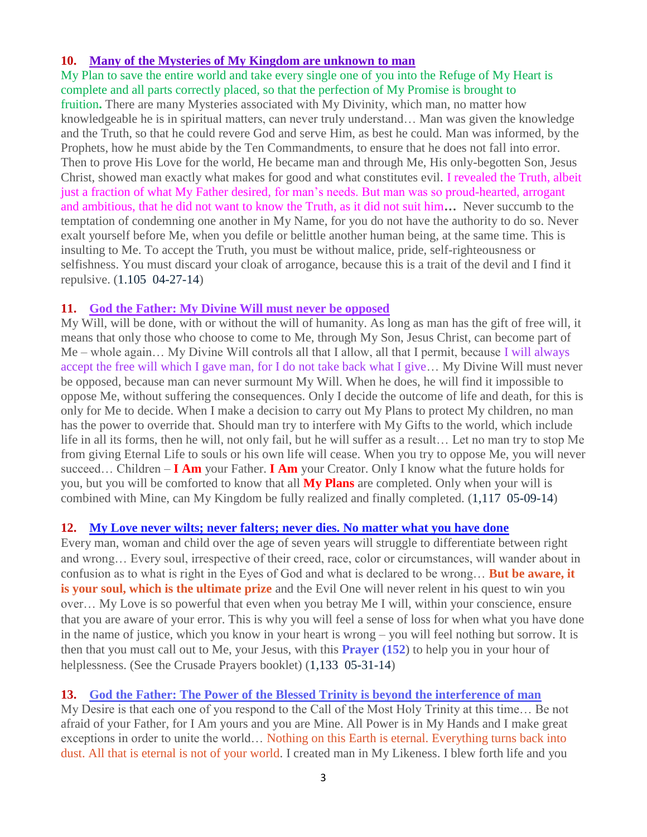## **10. [Many of the Mysteries of My Kingdom are unknown to man](http://www.thewarningsecondcoming.com/many-of-the-mysteries-of-my-kingdom-are-unknown-to-man/)**

My Plan to save the entire world and take every single one of you into the Refuge of My Heart is complete and all parts correctly placed, so that the perfection of My Promise is brought to

fruition**.** There are many Mysteries associated with My Divinity, which man, no matter how knowledgeable he is in spiritual matters, can never truly understand… Man was given the knowledge and the Truth, so that he could revere God and serve Him, as best he could. Man was informed, by the Prophets, how he must abide by the Ten Commandments, to ensure that he does not fall into error. Then to prove His Love for the world, He became man and through Me, His only-begotten Son, Jesus Christ, showed man exactly what makes for good and what constitutes evil. I revealed the Truth, albeit just a fraction of what My Father desired, for man's needs. But man was so proud-hearted, arrogant and ambitious, that he did not want to know the Truth, as it did not suit him**…** Never succumb to the temptation of condemning one another in My Name, for you do not have the authority to do so. Never exalt yourself before Me, when you defile or belittle another human being, at the same time. This is insulting to Me. To accept the Truth, you must be without malice, pride, self-righteousness or selfishness. You must discard your cloak of arrogance, because this is a trait of the devil and I find it repulsive. (1.105 04-27-14)

#### **11. [God the Father: My Divine Will must never be opposed](http://www.thewarningsecondcoming.com/mother-of-salvation-this-final-medal-brought-to-you-by-me-through-the-mercy-of-god-will-draw-billions-of-souls-towards-eternal-life/)**

My Will, will be done, with or without the will of humanity. As long as man has the gift of free will, it means that only those who choose to come to Me, through My Son, Jesus Christ, can become part of Me – whole again… My Divine Will controls all that I allow, all that I permit, because I will always accept the free will which I gave man, for I do not take back what I give… My Divine Will must never be opposed, because man can never surmount My Will. When he does, he will find it impossible to oppose Me, without suffering the consequences. Only I decide the outcome of life and death, for this is only for Me to decide. When I make a decision to carry out My Plans to protect My children, no man has the power to override that. Should man try to interfere with My Gifts to the world, which include life in all its forms, then he will, not only fail, but he will suffer as a result… Let no man try to stop Me from giving Eternal Life to souls or his own life will cease. When you try to oppose Me, you will never succeed… Children – **I Am** your Father. **I Am** your Creator. Only I know what the future holds for you, but you will be comforted to know that all **My Plans** are completed. Only when your will is combined with Mine, can My Kingdom be fully realized and finally completed. (1,117 05-09-14)

#### **12. [My Love never wilts; never falters; never dies. No matter what you have done](http://www.thewarningsecondcoming.com/my-love-never-wilts-never-falters-never-dies-no-matter-what-you-have-done/)**

Every man, woman and child over the age of seven years will struggle to differentiate between right and wrong… Every soul, irrespective of their creed, race, color or circumstances, will wander about in confusion as to what is right in the Eyes of God and what is declared to be wrong… **But be aware, it is your soul, which is the ultimate prize** and the Evil One will never relent in his quest to win you over… My Love is so powerful that even when you betray Me I will, within your conscience, ensure that you are aware of your error. This is why you will feel a sense of loss for when what you have done in the name of justice, which you know in your heart is wrong – you will feel nothing but sorrow. It is then that you must call out to Me, your Jesus, with this **Prayer (152**) to help you in your hour of helplessness. (See the Crusade Prayers booklet) (1,133 05-31-14)

#### **13. [God the Father: The Power of the Blessed Trinity is beyond the interference of man](http://www.thewarningsecondcoming.com/god-the-father-the-power-of-the-blessed-trinity-is-beyond-the-interference-of-man-2/)**

My Desire is that each one of you respond to the Call of the Most Holy Trinity at this time… Be not afraid of your Father, for I Am yours and you are Mine. All Power is in My Hands and I make great exceptions in order to unite the world… Nothing on this Earth is eternal. Everything turns back into dust. All that is eternal is not of your world. I created man in My Likeness. I blew forth life and you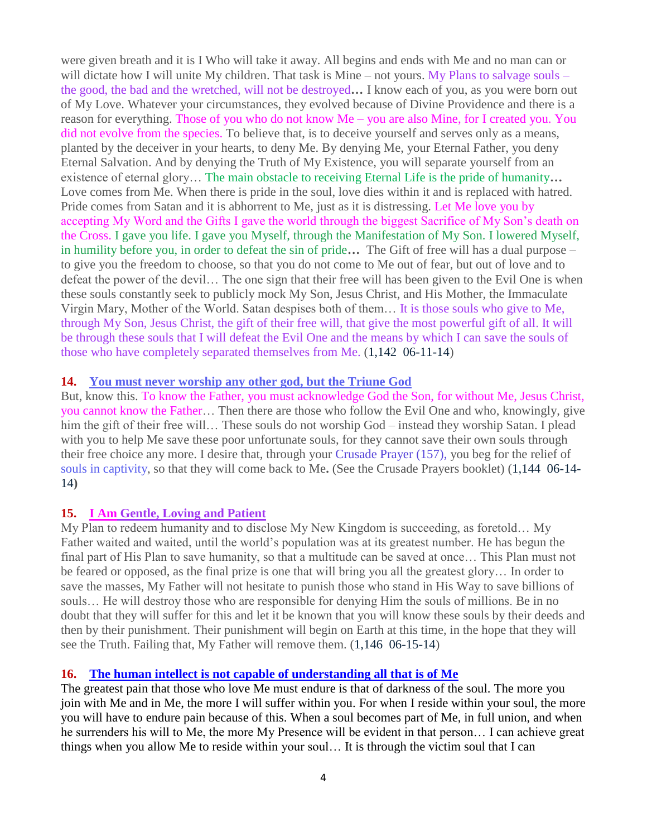were given breath and it is I Who will take it away. All begins and ends with Me and no man can or will dictate how I will unite My children. That task is Mine – not yours. My Plans to salvage souls – the good, the bad and the wretched, will not be destroyed**…** I know each of you, as you were born out of My Love. Whatever your circumstances, they evolved because of Divine Providence and there is a reason for everything. Those of you who do not know Me – you are also Mine, for I created you. You did not evolve from the species. To believe that, is to deceive yourself and serves only as a means, planted by the deceiver in your hearts, to deny Me. By denying Me, your Eternal Father, you deny Eternal Salvation. And by denying the Truth of My Existence, you will separate yourself from an existence of eternal glory… The main obstacle to receiving Eternal Life is the pride of humanity**…**  Love comes from Me. When there is pride in the soul, love dies within it and is replaced with hatred. Pride comes from Satan and it is abhorrent to Me, just as it is distressing. Let Me love you by accepting My Word and the Gifts I gave the world through the biggest Sacrifice of My Son's death on the Cross. I gave you life. I gave you Myself, through the Manifestation of My Son. I lowered Myself, in humility before you, in order to defeat the sin of pride**…** The Gift of free will has a dual purpose – to give you the freedom to choose, so that you do not come to Me out of fear, but out of love and to defeat the power of the devil… The one sign that their free will has been given to the Evil One is when these souls constantly seek to publicly mock My Son, Jesus Christ, and His Mother, the Immaculate Virgin Mary, Mother of the World. Satan despises both of them… It is those souls who give to Me, through My Son, Jesus Christ, the gift of their free will, that give the most powerful gift of all. It will be through these souls that I will defeat the Evil One and the means by which I can save the souls of those who have completely separated themselves from Me. (1,142 06-11-14)

#### **14. [You must never worship any other](http://www.thewarningsecondcoming.com/you-must-never-worship-any-other-god-but-the-triune-god/) god, but the Triune God**

But, know this. To know the Father, you must acknowledge God the Son, for without Me, Jesus Christ, you cannot know the Father… Then there are those who follow the Evil One and who, knowingly, give him the gift of their free will… These souls do not worship God – instead they worship Satan. I plead with you to help Me save these poor unfortunate souls, for they cannot save their own souls through their free choice any more. I desire that, through your Crusade Prayer (157), you beg for the relief of souls in captivity, so that they will come back to Me**.** (See the Crusade Prayers booklet) (1,144 06-14- 14**)**

# **15. I Am [Gentle, Loving and Patient](http://www.thewarningsecondcoming.com/i-am-gentle-loving-and-patient/)**

My Plan to redeem humanity and to disclose My New Kingdom is succeeding, as foretold… My Father waited and waited, until the world's population was at its greatest number. He has begun the final part of His Plan to save humanity, so that a multitude can be saved at once… This Plan must not be feared or opposed, as the final prize is one that will bring you all the greatest glory… In order to save the masses, My Father will not hesitate to punish those who stand in His Way to save billions of souls… He will destroy those who are responsible for denying Him the souls of millions. Be in no doubt that they will suffer for this and let it be known that you will know these souls by their deeds and then by their punishment. Their punishment will begin on Earth at this time, in the hope that they will see the Truth. Failing that, My Father will remove them. (1,146 06-15-14)

# **16. [The human intellect is not capable of understanding all that is of Me](http://www.thewarningsecondcoming.com/the-human-intellect-is-not-capable-of-understanding-all-that-is-of-me/)**

The greatest pain that those who love Me must endure is that of darkness of the soul. The more you join with Me and in Me, the more I will suffer within you. For when I reside within your soul, the more you will have to endure pain because of this. When a soul becomes part of Me, in full union, and when he surrenders his will to Me, the more My Presence will be evident in that person… I can achieve great things when you allow Me to reside within your soul… It is through the victim soul that I can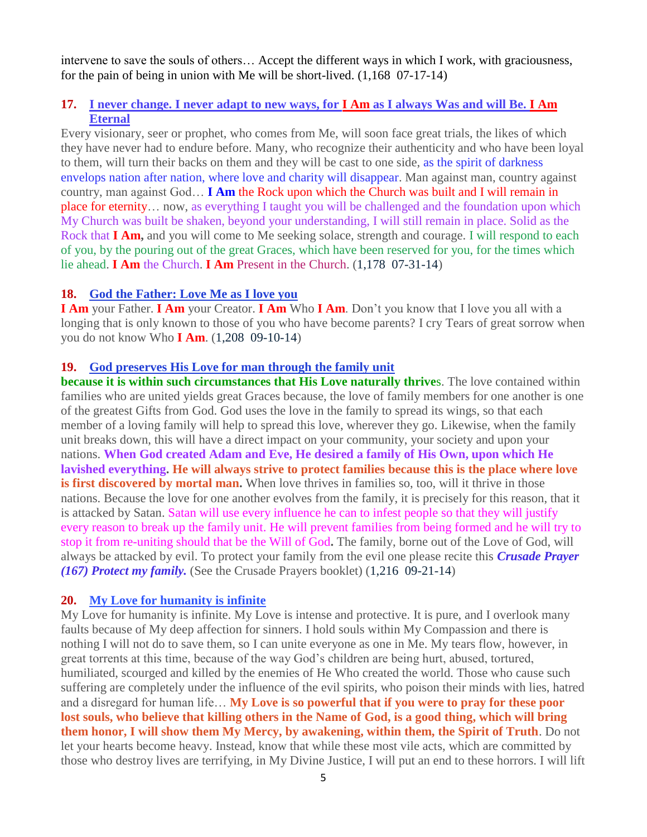intervene to save the souls of others… Accept the different ways in which I work, with graciousness, for the pain of being in union with Me will be short-lived. (1,168 07-17-14)

# **17. [I never change. I never adapt to new ways, for I Am](http://www.thewarningsecondcoming.com/i-never-change-i-never-adapt-to-new-ways-for-i-am-as-i-always-was-and-will-be-i-am-eternal/) as I always Was and will Be. I Am [Eternal](http://www.thewarningsecondcoming.com/i-never-change-i-never-adapt-to-new-ways-for-i-am-as-i-always-was-and-will-be-i-am-eternal/)**

Every visionary, seer or prophet, who comes from Me, will soon face great trials, the likes of which they have never had to endure before. Many, who recognize their authenticity and who have been loyal to them, will turn their backs on them and they will be cast to one side, as the spirit of darkness envelops nation after nation, where love and charity will disappear. Man against man, country against country, man against God… **I Am** the Rock upon which the Church was built and I will remain in place for eternity… now, as everything I taught you will be challenged and the foundation upon which My Church was built be shaken, beyond your understanding, I will still remain in place. Solid as the Rock that **I Am,** and you will come to Me seeking solace, strength and courage. I will respond to each of you, by the pouring out of the great Graces, which have been reserved for you, for the times which lie ahead. **I Am** the Church. **I Am** Present in the Church. (1,178 07-31-14)

#### **18. [God the Father: Love Me as I love you](http://www.thewarningsecondcoming.com/god-the-father-love-me-as-i-love-you/)**

**I Am** your Father. **I Am** your Creator. **I Am** Who **I Am**. Don't you know that I love you all with a longing that is only known to those of you who have become parents? I cry Tears of great sorrow when you do not know Who **I Am**. (1,208 09-10-14)

## **19. [God preserves His Love for man through the family unit](http://www.thewarningsecondcoming.com/god-preserves-his-love-for-man-through-the-family-unit/)**

**because it is within such circumstances that His Love naturally thrives.** The love contained within families who are united yields great Graces because, the love of family members for one another is one of the greatest Gifts from God. God uses the love in the family to spread its wings, so that each member of a loving family will help to spread this love, wherever they go. Likewise, when the family unit breaks down, this will have a direct impact on your community, your society and upon your nations. **When God created Adam and Eve, He desired a family of His Own, upon which He lavished everything. He will always strive to protect families because this is the place where love is first discovered by mortal man.** When love thrives in families so, too, will it thrive in those nations. Because the love for one another evolves from the family, it is precisely for this reason, that it is attacked by Satan. Satan will use every influence he can to infest people so that they will justify every reason to break up the family unit. He will prevent families from being formed and he will try to stop it from re-uniting should that be the Will of God**.** The family, borne out of the Love of God, will always be attacked by evil. To protect your family from the evil one please recite this *Crusade Prayer (167) Protect my family.* (See the Crusade Prayers booklet) (1,216 09-21-14)

#### **20. [My Love for humanity is infinite](http://www.thewarningsecondcoming.com/my-love-for-humanity-is-infinite/)**

My Love for humanity is infinite. My Love is intense and protective. It is pure, and I overlook many faults because of My deep affection for sinners. I hold souls within My Compassion and there is nothing I will not do to save them, so I can unite everyone as one in Me. My tears flow, however, in great torrents at this time, because of the way God's children are being hurt, abused, tortured, humiliated, scourged and killed by the enemies of He Who created the world. Those who cause such suffering are completely under the influence of the evil spirits, who poison their minds with lies, hatred and a disregard for human life… **My Love is so powerful that if you were to pray for these poor lost souls, who believe that killing others in the Name of God, is a good thing, which will bring them honor, I will show them My Mercy, by awakening, within them, the Spirit of Truth**. Do not let your hearts become heavy. Instead, know that while these most vile acts, which are committed by those who destroy lives are terrifying, in My Divine Justice, I will put an end to these horrors. I will lift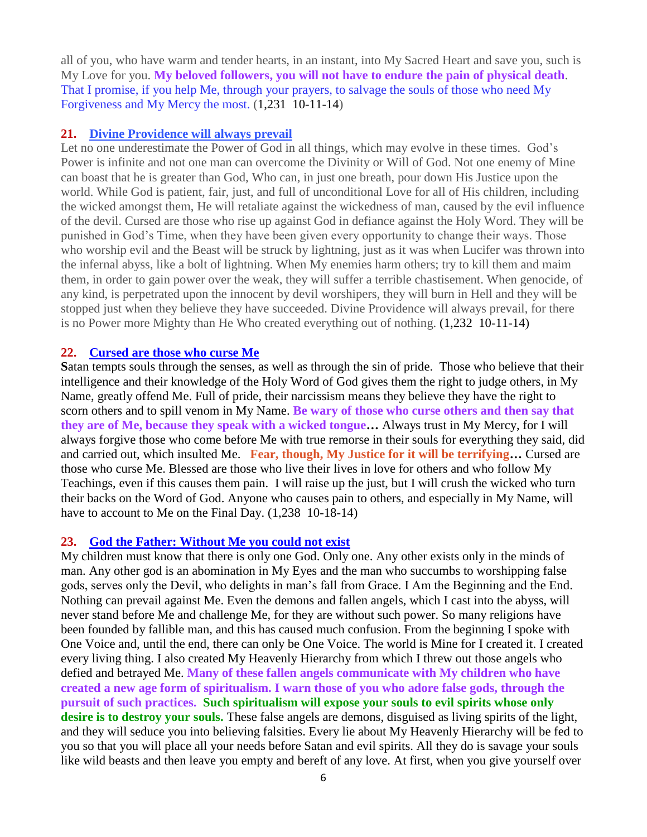all of you, who have warm and tender hearts, in an instant, into My Sacred Heart and save you, such is My Love for you. **My beloved followers, you will not have to endure the pain of physical death**. That I promise, if you help Me, through your prayers, to salvage the souls of those who need My Forgiveness and My Mercy the most. (1,231 10-11-14)

#### **21. [Divine Providence will always prevail](http://www.thewarningsecondcoming.com/divine-providence-will-always-prevail/)**

Let no one underestimate the Power of God in all things, which may evolve in these times. God's Power is infinite and not one man can overcome the Divinity or Will of God. Not one enemy of Mine can boast that he is greater than God, Who can, in just one breath, pour down His Justice upon the world. While God is patient, fair, just, and full of unconditional Love for all of His children, including the wicked amongst them, He will retaliate against the wickedness of man, caused by the evil influence of the devil. Cursed are those who rise up against God in defiance against the Holy Word. They will be punished in God's Time, when they have been given every opportunity to change their ways. Those who worship evil and the Beast will be struck by lightning, just as it was when Lucifer was thrown into the infernal abyss, like a bolt of lightning. When My enemies harm others; try to kill them and maim them, in order to gain power over the weak, they will suffer a terrible chastisement. When genocide, of any kind, is perpetrated upon the innocent by devil worshipers, they will burn in Hell and they will be stopped just when they believe they have succeeded. Divine Providence will always prevail, for there is no Power more Mighty than He Who created everything out of nothing. (1,232 10-11-14)

#### **22. [Cursed are those who curse Me](http://www.thewarningsecondcoming.com/cursed-are-those-who-curse-me/)**

**S**atan tempts souls through the senses, as well as through the sin of pride. Those who believe that their intelligence and their knowledge of the Holy Word of God gives them the right to judge others, in My Name, greatly offend Me. Full of pride, their narcissism means they believe they have the right to scorn others and to spill venom in My Name. **Be wary of those who curse others and then say that they are of Me, because they speak with a wicked tongue…** Always trust in My Mercy, for I will always forgive those who come before Me with true remorse in their souls for everything they said, did and carried out, which insulted Me. **Fear, though, My Justice for it will be terrifying…** Cursed are those who curse Me. Blessed are those who live their lives in love for others and who follow My Teachings, even if this causes them pain. I will raise up the just, but I will crush the wicked who turn their backs on the Word of God. Anyone who causes pain to others, and especially in My Name, will have to account to Me on the Final Day.  $(1,238 \ 10-18-14)$ 

#### **23. [God the Father: Without Me you could not exist](http://www.thewarningsecondcoming.com/god-the-father-without-me-you-could-not-exist/)**

My children must know that there is only one God. Only one. Any other exists only in the minds of man. Any other god is an abomination in My Eyes and the man who succumbs to worshipping false gods, serves only the Devil, who delights in man's fall from Grace. I Am the Beginning and the End. Nothing can prevail against Me. Even the demons and fallen angels, which I cast into the abyss, will never stand before Me and challenge Me, for they are without such power. So many religions have been founded by fallible man, and this has caused much confusion. From the beginning I spoke with One Voice and, until the end, there can only be One Voice. The world is Mine for I created it. I created every living thing. I also created My Heavenly Hierarchy from which I threw out those angels who defied and betrayed Me. **Many of these fallen angels communicate with My children who have created a new age form of spiritualism. I warn those of you who adore false gods, through the pursuit of such practices. Such spiritualism will expose your souls to evil spirits whose only desire is to destroy your souls.** These false angels are demons, disguised as living spirits of the light, and they will seduce you into believing falsities. Every lie about My Heavenly Hierarchy will be fed to you so that you will place all your needs before Satan and evil spirits. All they do is savage your souls like wild beasts and then leave you empty and bereft of any love. At first, when you give yourself over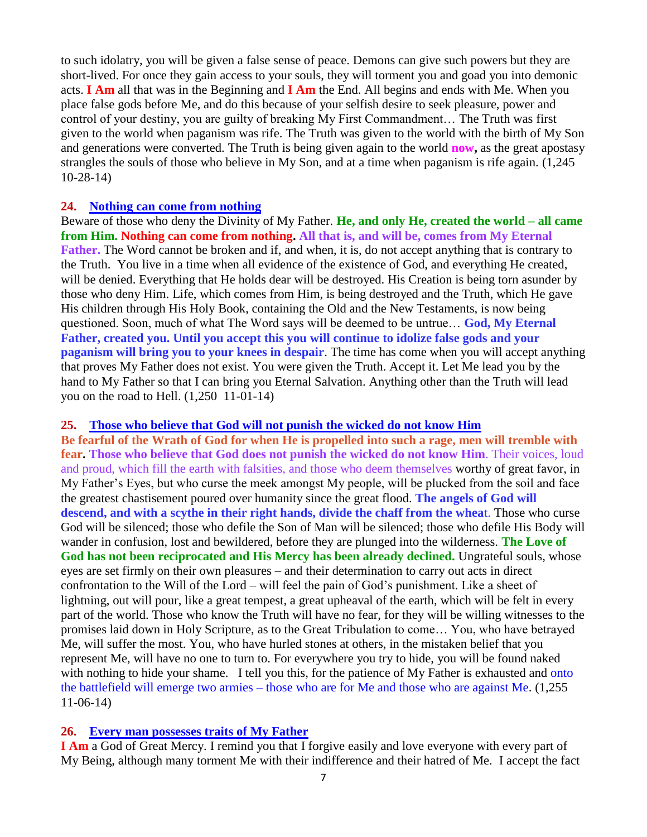to such idolatry, you will be given a false sense of peace. Demons can give such powers but they are short-lived. For once they gain access to your souls, they will torment you and goad you into demonic acts. **I Am** all that was in the Beginning and **I Am** the End. All begins and ends with Me. When you place false gods before Me, and do this because of your selfish desire to seek pleasure, power and control of your destiny, you are guilty of breaking My First Commandment… The Truth was first given to the world when paganism was rife. The Truth was given to the world with the birth of My Son and generations were converted. The Truth is being given again to the world **now,** as the great apostasy strangles the souls of those who believe in My Son, and at a time when paganism is rife again. (1,245 10-28-14)

#### **24. [Nothing can come from nothing](http://www.thewarningsecondcoming.com/nothing-can-come-from-nothing/)**

Beware of those who deny the Divinity of My Father. **He, and only He, created the world – all came from Him. Nothing can come from nothing. All that is, and will be, comes from My Eternal Father.** The Word cannot be broken and if, and when, it is, do not accept anything that is contrary to the Truth. You live in a time when all evidence of the existence of God, and everything He created, will be denied. Everything that He holds dear will be destroyed. His Creation is being torn asunder by those who deny Him. Life, which comes from Him, is being destroyed and the Truth, which He gave His children through His Holy Book, containing the Old and the New Testaments, is now being questioned. Soon, much of what The Word says will be deemed to be untrue… **God, My Eternal Father, created you. Until you accept this you will continue to idolize false gods and your paganism will bring you to your knees in despair**. The time has come when you will accept anything that proves My Father does not exist. You were given the Truth. Accept it. Let Me lead you by the hand to My Father so that I can bring you Eternal Salvation. Anything other than the Truth will lead you on the road to Hell. (1,250 11-01-14)

#### **25. [Those who believe that God will not punish the wicked do not know Him](http://www.thewarningsecondcoming.com/those-who-do-not-believe-that-god-will-not-punish-the-wicked-do-not-know-him/)**

**Be fearful of the Wrath of God for when He is propelled into such a rage, men will tremble with fear. Those who believe that God does not punish the wicked do not know Him**. Their voices, loud and proud, which fill the earth with falsities, and those who deem themselves worthy of great favor, in My Father's Eyes, but who curse the meek amongst My people, will be plucked from the soil and face the greatest chastisement poured over humanity since the great flood. **The angels of God will descend, and with a scythe in their right hands, divide the chaff from the whea**t. Those who curse God will be silenced; those who defile the Son of Man will be silenced; those who defile His Body will wander in confusion, lost and bewildered, before they are plunged into the wilderness. **The Love of God has not been reciprocated and His Mercy has been already declined.** Ungrateful souls, whose eyes are set firmly on their own pleasures – and their determination to carry out acts in direct confrontation to the Will of the Lord – will feel the pain of God's punishment. Like a sheet of lightning, out will pour, like a great tempest, a great upheaval of the earth, which will be felt in every part of the world. Those who know the Truth will have no fear, for they will be willing witnesses to the promises laid down in Holy Scripture, as to the Great Tribulation to come… You, who have betrayed Me, will suffer the most. You, who have hurled stones at others, in the mistaken belief that you represent Me, will have no one to turn to. For everywhere you try to hide, you will be found naked with nothing to hide your shame. I tell you this, for the patience of My Father is exhausted and onto the battlefield will emerge two armies – those who are for Me and those who are against Me. (1,255 11-06-14)

#### **26. [Every man possesses traits of My Father](http://www.thewarningsecondcoming.com/every-man-possesses-traits-of-my-father/)**

**I Am** a God of Great Mercy. I remind you that I forgive easily and love everyone with every part of My Being, although many torment Me with their indifference and their hatred of Me. I accept the fact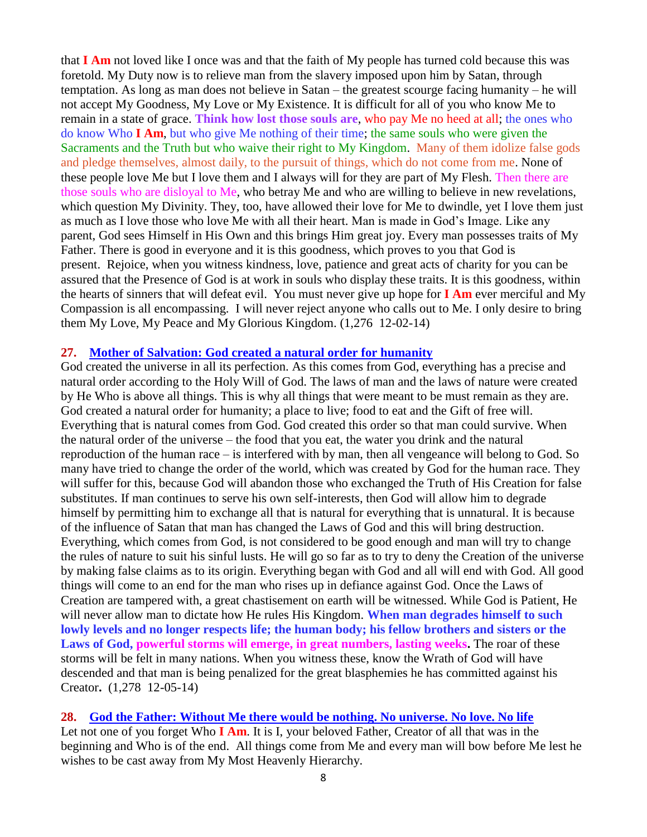that **I Am** not loved like I once was and that the faith of My people has turned cold because this was foretold. My Duty now is to relieve man from the slavery imposed upon him by Satan, through temptation. As long as man does not believe in Satan – the greatest scourge facing humanity – he will not accept My Goodness, My Love or My Existence. It is difficult for all of you who know Me to remain in a state of grace. **Think how lost those souls are**, who pay Me no heed at all; the ones who do know Who **I Am**, but who give Me nothing of their time; the same souls who were given the Sacraments and the Truth but who waive their right to My Kingdom. Many of them idolize false gods and pledge themselves, almost daily, to the pursuit of things, which do not come from me. None of these people love Me but I love them and I always will for they are part of My Flesh. Then there are those souls who are disloyal to Me, who betray Me and who are willing to believe in new revelations, which question My Divinity. They, too, have allowed their love for Me to dwindle, yet I love them just as much as I love those who love Me with all their heart. Man is made in God's Image. Like any parent, God sees Himself in His Own and this brings Him great joy. Every man possesses traits of My Father. There is good in everyone and it is this goodness, which proves to you that God is present. Rejoice, when you witness kindness, love, patience and great acts of charity for you can be assured that the Presence of God is at work in souls who display these traits. It is this goodness, within the hearts of sinners that will defeat evil. You must never give up hope for **I Am** ever merciful and My Compassion is all encompassing. I will never reject anyone who calls out to Me. I only desire to bring them My Love, My Peace and My Glorious Kingdom. (1,276 12-02-14)

#### **27. [Mother of Salvation: God created a natural order for humanity](http://www.thewarningsecondcoming.com/mother-of-salvation-god-created-a-natural-order-for-humanity/)**

God created the universe in all its perfection. As this comes from God, everything has a precise and natural order according to the Holy Will of God. The laws of man and the laws of nature were created by He Who is above all things. This is why all things that were meant to be must remain as they are. God created a natural order for humanity; a place to live; food to eat and the Gift of free will. Everything that is natural comes from God. God created this order so that man could survive. When the natural order of the universe – the food that you eat, the water you drink and the natural reproduction of the human race – is interfered with by man, then all vengeance will belong to God. So many have tried to change the order of the world, which was created by God for the human race. They will suffer for this, because God will abandon those who exchanged the Truth of His Creation for false substitutes. If man continues to serve his own self-interests, then God will allow him to degrade himself by permitting him to exchange all that is natural for everything that is unnatural. It is because of the influence of Satan that man has changed the Laws of God and this will bring destruction. Everything, which comes from God, is not considered to be good enough and man will try to change the rules of nature to suit his sinful lusts. He will go so far as to try to deny the Creation of the universe by making false claims as to its origin. Everything began with God and all will end with God. All good things will come to an end for the man who rises up in defiance against God. Once the Laws of Creation are tampered with, a great chastisement on earth will be witnessed. While God is Patient, He will never allow man to dictate how He rules His Kingdom. **When man degrades himself to such lowly levels and no longer respects life; the human body; his fellow brothers and sisters or the**  Laws of God, powerful storms will emerge, in great numbers, lasting weeks. The roar of these storms will be felt in many nations. When you witness these, know the Wrath of God will have descended and that man is being penalized for the great blasphemies he has committed against his Creator**.** (1,278 12-05-14)

#### **28. [God the Father: Without Me there would be nothing. No universe. No love. No life](http://www.thewarningsecondcoming.com/god-the-father-without-me-there-would-be-nothing-no-universe-no-love-no-life/)**

Let not one of you forget Who **I Am**. It is I, your beloved Father, Creator of all that was in the beginning and Who is of the end. All things come from Me and every man will bow before Me lest he wishes to be cast away from My Most Heavenly Hierarchy.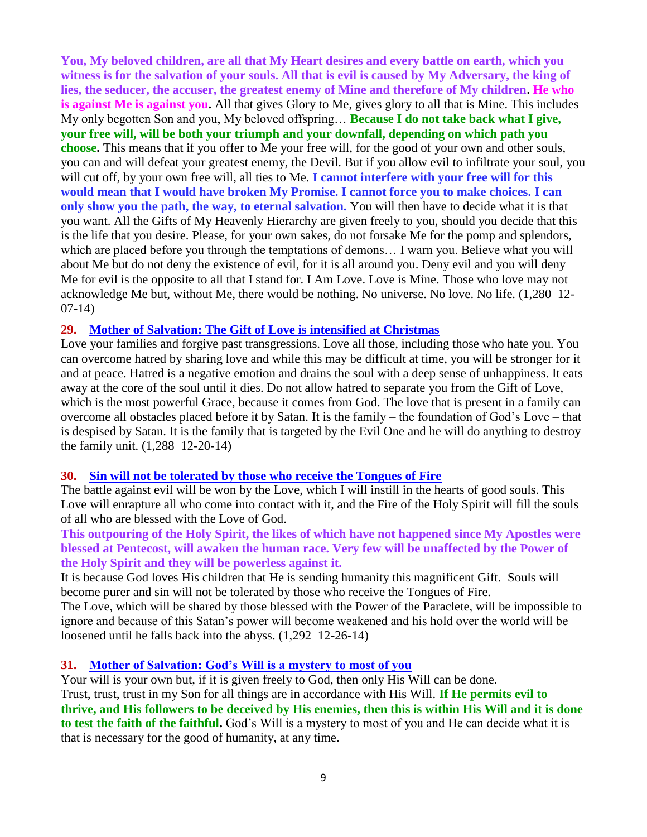**You, My beloved children, are all that My Heart desires and every battle on earth, which you witness is for the salvation of your souls. All that is evil is caused by My Adversary, the king of lies, the seducer, the accuser, the greatest enemy of Mine and therefore of My children. He who is against Me is against you.** All that gives Glory to Me, gives glory to all that is Mine. This includes My only begotten Son and you, My beloved offspring… **Because I do not take back what I give, your free will, will be both your triumph and your downfall, depending on which path you choose.** This means that if you offer to Me your free will, for the good of your own and other souls, you can and will defeat your greatest enemy, the Devil. But if you allow evil to infiltrate your soul, you will cut off, by your own free will, all ties to Me. **I cannot interfere with your free will for this would mean that I would have broken My Promise. I cannot force you to make choices. I can only show you the path, the way, to eternal salvation.** You will then have to decide what it is that you want. All the Gifts of My Heavenly Hierarchy are given freely to you, should you decide that this is the life that you desire. Please, for your own sakes, do not forsake Me for the pomp and splendors, which are placed before you through the temptations of demons… I warn you. Believe what you will about Me but do not deny the existence of evil, for it is all around you. Deny evil and you will deny Me for evil is the opposite to all that I stand for. I Am Love. Love is Mine. Those who love may not acknowledge Me but, without Me, there would be nothing. No universe. No love. No life. (1,280 12- 07-14)

#### **29. [Mother of Salvation: The Gift of Love is intensified at Christmas](http://www.thewarningsecondcoming.com/mother-of-salvation-the-gift-of-love-is-intensified-at-christmas/)**

Love your families and forgive past transgressions. Love all those, including those who hate you. You can overcome hatred by sharing love and while this may be difficult at time, you will be stronger for it and at peace. Hatred is a negative emotion and drains the soul with a deep sense of unhappiness. It eats away at the core of the soul until it dies. Do not allow hatred to separate you from the Gift of Love, which is the most powerful Grace, because it comes from God. The love that is present in a family can overcome all obstacles placed before it by Satan. It is the family – the foundation of God's Love – that is despised by Satan. It is the family that is targeted by the Evil One and he will do anything to destroy the family unit. (1,288 12-20-14)

#### **30. [Sin will not be tolerated by those who receive the Tongues of Fire](http://www.thewarningsecondcoming.com/sin-will-not-be-tolerated-by-those-who-receive-the-tongues-of-fire/)**

The battle against evil will be won by the Love, which I will instill in the hearts of good souls. This Love will enrapture all who come into contact with it, and the Fire of the Holy Spirit will fill the souls of all who are blessed with the Love of God.

**This outpouring of the Holy Spirit, the likes of which have not happened since My Apostles were blessed at Pentecost, will awaken the human race. Very few will be unaffected by the Power of the Holy Spirit and they will be powerless against it.**

It is because God loves His children that He is sending humanity this magnificent Gift. Souls will become purer and sin will not be tolerated by those who receive the Tongues of Fire.

The Love, which will be shared by those blessed with the Power of the Paraclete, will be impossible to ignore and because of this Satan's power will become weakened and his hold over the world will be loosened until he falls back into the abyss. (1,292 12-26-14)

#### **31. [Mother of Salvation: God's Will is a mystery to most of you](http://www.thewarningsecondcoming.com/mother-of-salvation-gods-will-is-a-mystery-to-most-of-you/)**

Your will is your own but, if it is given freely to God, then only His Will can be done. Trust, trust, trust in my Son for all things are in accordance with His Will. **If He permits evil to thrive, and His followers to be deceived by His enemies, then this is within His Will and it is done to test the faith of the faithful.** God's Will is a mystery to most of you and He can decide what it is that is necessary for the good of humanity, at any time.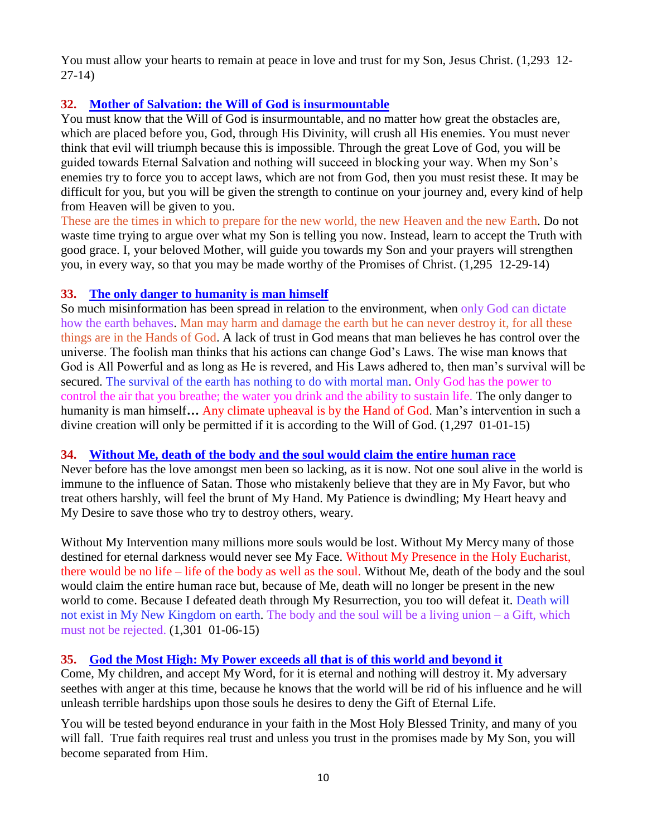You must allow your hearts to remain at peace in love and trust for my Son, Jesus Christ. (1,293 12-27-14)

# **32. [Mother of Salvation: the Will of God is insurmountable](http://www.thewarningsecondcoming.com/mother-of-salvation-the-will-of-god-is-insurmountable/)**

You must know that the Will of God is insurmountable, and no matter how great the obstacles are, which are placed before you, God, through His Divinity, will crush all His enemies. You must never think that evil will triumph because this is impossible. Through the great Love of God, you will be guided towards Eternal Salvation and nothing will succeed in blocking your way. When my Son's enemies try to force you to accept laws, which are not from God, then you must resist these. It may be difficult for you, but you will be given the strength to continue on your journey and, every kind of help from Heaven will be given to you.

These are the times in which to prepare for the new world, the new Heaven and the new Earth. Do not waste time trying to argue over what my Son is telling you now. Instead, learn to accept the Truth with good grace. I, your beloved Mother, will guide you towards my Son and your prayers will strengthen you, in every way, so that you may be made worthy of the Promises of Christ. (1,295 12-29-14)

# **33. [The only danger to humanity is man himself](http://www.thewarningsecondcoming.com/the-only-danger-to-humanity-is-man-himself/)**

So much misinformation has been spread in relation to the environment, when only God can dictate how the earth behaves. Man may harm and damage the earth but he can never destroy it, for all these things are in the Hands of God. A lack of trust in God means that man believes he has control over the universe. The foolish man thinks that his actions can change God's Laws. The wise man knows that God is All Powerful and as long as He is revered, and His Laws adhered to, then man's survival will be secured. The survival of the earth has nothing to do with mortal man. Only God has the power to control the air that you breathe; the water you drink and the ability to sustain life. The only danger to humanity is man himself**…** Any climate upheaval is by the Hand of God. Man's intervention in such a divine creation will only be permitted if it is according to the Will of God. (1,297 01-01-15)

# **34. [Without Me, death of the body and the soul would claim the entire human race](http://www.thewarningsecondcoming.com/without-me-death-of-the-body-and-the-soul-would-claim-the-entire-human-race/)**

Never before has the love amongst men been so lacking, as it is now. Not one soul alive in the world is immune to the influence of Satan. Those who mistakenly believe that they are in My Favor, but who treat others harshly, will feel the brunt of My Hand. My Patience is dwindling; My Heart heavy and My Desire to save those who try to destroy others, weary.

Without My Intervention many millions more souls would be lost. Without My Mercy many of those destined for eternal darkness would never see My Face. Without My Presence in the Holy Eucharist, there would be no life – life of the body as well as the soul. Without Me, death of the body and the soul would claim the entire human race but, because of Me, death will no longer be present in the new world to come. Because I defeated death through My Resurrection, you too will defeat it. Death will not exist in My New Kingdom on earth. The body and the soul will be a living union – a Gift, which must not be rejected. (1,301 01-06-15)

# **35. [God the Most High: My Power exceeds all that is of this world and beyond it](http://www.thewarningsecondcoming.com/god-the-most-high-my-power-exceeds-all-that-is-of-this-world-and-beyond-it/)**

Come, My children, and accept My Word, for it is eternal and nothing will destroy it. My adversary seethes with anger at this time, because he knows that the world will be rid of his influence and he will unleash terrible hardships upon those souls he desires to deny the Gift of Eternal Life.

You will be tested beyond endurance in your faith in the Most Holy Blessed Trinity, and many of you will fall. True faith requires real trust and unless you trust in the promises made by My Son, you will become separated from Him.